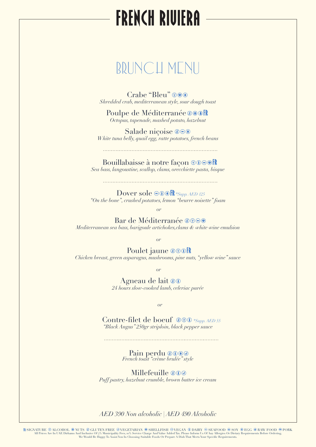## **FRENCH RIVIERA**

## BRUNCH MENU

Crabe "Bleu"  $\circledcirc$ *Shredded crab, mediterranean style, sour dough toast*

Poulpe de Méditerranée **@@OR** *Octopus, tapenade, mashed potato, hazelnut*

Salade niçoise *White tuna belly, quail egg, ratte potatoes, french beans*

> Bouillabaisse à notre façon **ODOOR** *Sea bass, langoustine, scallop, clams, orecchiette pasta, bisque*

Dover sole *⊕* **© ⊙ FR** \*Supp. AED 125 *"On the bone", crushed potatoes, lemon "beurre noisette" foam* 

*or*

Bar de Méditerranée ®®®® *Mediterranean sea bass, barigoule artichokes,clams & white wine emulsion*

*or*

Poulet jaune **@ OOFR** *Chicken breast, green asparagus, mushrooms, pine nuts, "yellow wine" sauce*

*or*

 Agneau de lait *24 hours slow-cooked lamb, celeriac purée*

*or*

 Contre-filet de boeuf *\*Supp. AED 55 "Black Angus" 250gr striploin, black pepper sauce*

Pain perdu *French toast "crème brulée" style*

Millefeuille @ 00

*Puff pastry, hazelnut crumble, brown butter ice cream*

#### *AED 390 Non alcoholic | AED 490 Alcoholic*

SIGNATURE © ALCOHOL ® NUTS © GLUTEN FREE ©VEGETARIAN ® SHELLFISH ©VEGAN Û DAIRY ⊖ SEAFOOD © SOY ® EGG © RAW FOOD © PORK († 2015).<br>All Prices Are In UAE Dirhams And Inclusive Of 7% Municipality Fees, 10% Service Charge And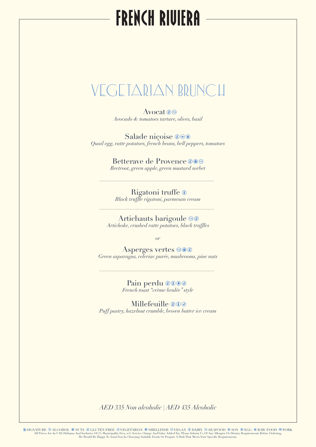# **FRENCH RIVIERA**

## VEGETARIAN BRUNCH

Avocat <sup>o</sup> *Avocado & tomatoes tartare, olives, basil*

Salade niçoise ® $\odot$ *Quail egg, ratte potatoes, french beans, bell peppers, tomatoes*

> Betterave de Provence <sup>®</sub></sup> *Beetroot, green apple, green mustard sorbet*

 Rigatoni truffe *Black truffle rigatoni, parmesan cream*

Artichauts barigoule  $\circledast$ *Artichoke, crushed ratte potatoes, black truffles*

*or*

Asperges vertes  $@@$ *Green asparagus, celeriac purée, mushrooms, pine nuts*

**Pain perdu** *French toast "crème brulée" style*

Millefeuille @00 *Puff pastry, hazelnut crumble, brown butter ice cream*

*AED 335 Non alcoholic | AED 435 Alcoholic*

SIGNATURE © ALCOHOL ® NUTS © GLUTEN FREE ©VEGETARIAN ® SHELLFISH ©VEGAN Û DAIRY ⊖ SEAFOOD © SOY ® EGG © RAW FOOD © PORK († 2015).<br>All Prices Are In UAE Dirhams And Inclusive Of 7% Municipality Fees, 10% Service Charge And